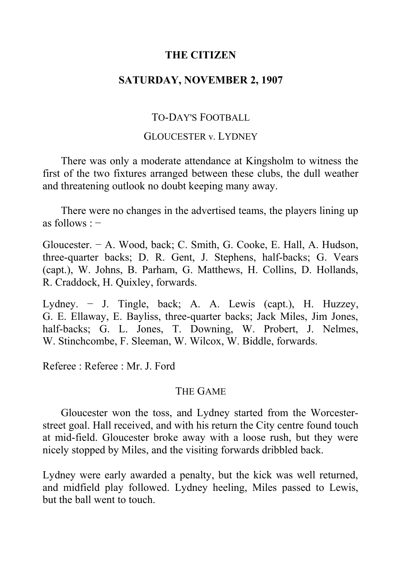## **THE CITIZEN**

### **SATURDAY, NOVEMBER 2, 1907**

# TO-DAY'S FOOTBALL

#### GLOUCESTER v. LYDNEY

There was only a moderate attendance at Kingsholm to witness the first of the two fixtures arranged between these clubs, the dull weather and threatening outlook no doubt keeping many away.

There were no changes in the advertised teams, the players lining up as follows : −

Gloucester. − A. Wood, back; C. Smith, G. Cooke, E. Hall, A. Hudson, three-quarter backs; D. R. Gent, J. Stephens, half-backs; G. Vears (capt.), W. Johns, B. Parham, G. Matthews, H. Collins, D. Hollands, R. Craddock, H. Quixley, forwards.

Lydney. − J. Tingle, back; A. A. Lewis (capt.), H. Huzzey, G. E. Ellaway, E. Bayliss, three-quarter backs; Jack Miles, Jim Jones, half-backs; G. L. Jones, T. Downing, W. Probert, J. Nelmes, W. Stinchcombe, F. Sleeman, W. Wilcox, W. Biddle, forwards.

Referee : Referee : Mr. J. Ford

### THE GAME

Gloucester won the toss, and Lydney started from the Worcesterstreet goal. Hall received, and with his return the City centre found touch at mid-field. Gloucester broke away with a loose rush, but they were nicely stopped by Miles, and the visiting forwards dribbled back.

Lydney were early awarded a penalty, but the kick was well returned, and midfield play followed. Lydney heeling, Miles passed to Lewis, but the ball went to touch.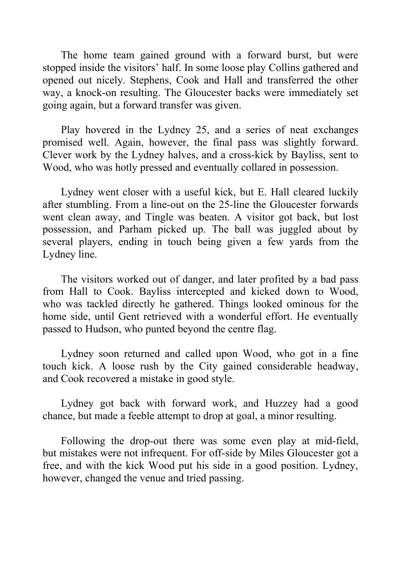The home team gained ground with a forward burst, but were stopped inside the visitors' half. In some loose play Collins gathered and opened out nicely. Stephens, Cook and Hall and transferred the other way, a knock-on resulting. The Gloucester backs were immediately set going again, but a forward transfer was given.

Play hovered in the Lydney 25, and a series of neat exchanges promised well. Again, however, the final pass was slightly forward. Clever work by the Lydney halves, and a cross-kick by Bayliss, sent to Wood, who was hotly pressed and eventually collared in possession.

Lydney went closer with a useful kick, but E. Hall cleared luckily after stumbling. From a line-out on the 25-line the Gloucester forwards went clean away, and Tingle was beaten. A visitor got back, but lost possession, and Parham picked up. The ball was juggled about by several players, ending in touch being given a few yards from the Lydney line.

The visitors worked out of danger, and later profited by a bad pass from Hall to Cook. Bayliss intercepted and kicked down to Wood, who was tackled directly he gathered. Things looked ominous for the home side, until Gent retrieved with a wonderful effort. He eventually passed to Hudson, who punted beyond the centre flag.

Lydney soon returned and called upon Wood, who got in a fine touch kick. A loose rush by the City gained considerable headway, and Cook recovered a mistake in good style.

Lydney got back with forward work, and Huzzey had a good chance, but made a feeble attempt to drop at goal, a minor resulting.

Following the drop-out there was some even play at mid-field, but mistakes were not infrequent. For off-side by Miles Gloucester got a free, and with the kick Wood put his side in a good position. Lydney, however, changed the venue and tried passing.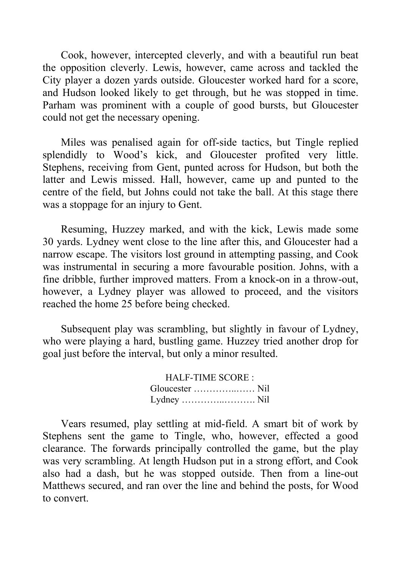Cook, however, intercepted cleverly, and with a beautiful run beat the opposition cleverly. Lewis, however, came across and tackled the City player a dozen yards outside. Gloucester worked hard for a score, and Hudson looked likely to get through, but he was stopped in time. Parham was prominent with a couple of good bursts, but Gloucester could not get the necessary opening.

Miles was penalised again for off-side tactics, but Tingle replied splendidly to Wood's kick, and Gloucester profited very little. Stephens, receiving from Gent, punted across for Hudson, but both the latter and Lewis missed. Hall, however, came up and punted to the centre of the field, but Johns could not take the ball. At this stage there was a stoppage for an injury to Gent.

Resuming, Huzzey marked, and with the kick, Lewis made some 30 yards. Lydney went close to the line after this, and Gloucester had a narrow escape. The visitors lost ground in attempting passing, and Cook was instrumental in securing a more favourable position. Johns, with a fine dribble, further improved matters. From a knock-on in a throw-out, however, a Lydney player was allowed to proceed, and the visitors reached the home 25 before being checked.

Subsequent play was scrambling, but slightly in favour of Lydney, who were playing a hard, bustling game. Huzzey tried another drop for goal just before the interval, but only a minor resulted.

> HALF-TIME SCORE : Gloucester …………..…… Nil Lydney …………..………. Nil

Vears resumed, play settling at mid-field. A smart bit of work by Stephens sent the game to Tingle, who, however, effected a good clearance. The forwards principally controlled the game, but the play was very scrambling. At length Hudson put in a strong effort, and Cook also had a dash, but he was stopped outside. Then from a line-out Matthews secured, and ran over the line and behind the posts, for Wood to convert.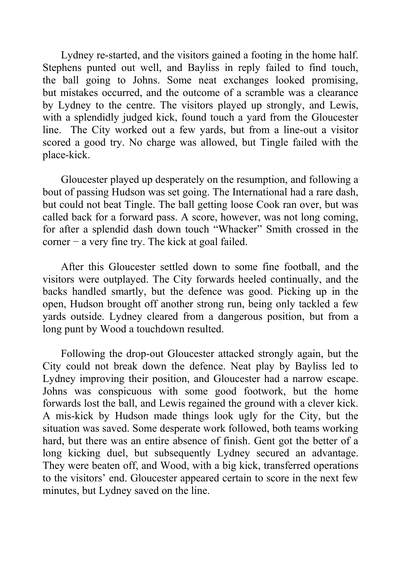Lydney re-started, and the visitors gained a footing in the home half. Stephens punted out well, and Bayliss in reply failed to find touch, the ball going to Johns. Some neat exchanges looked promising, but mistakes occurred, and the outcome of a scramble was a clearance by Lydney to the centre. The visitors played up strongly, and Lewis, with a splendidly judged kick, found touch a yard from the Gloucester line. The City worked out a few yards, but from a line-out a visitor scored a good try. No charge was allowed, but Tingle failed with the place-kick.

Gloucester played up desperately on the resumption, and following a bout of passing Hudson was set going. The International had a rare dash, but could not beat Tingle. The ball getting loose Cook ran over, but was called back for a forward pass. A score, however, was not long coming, for after a splendid dash down touch "Whacker" Smith crossed in the corner − a very fine try. The kick at goal failed.

After this Gloucester settled down to some fine football, and the visitors were outplayed. The City forwards heeled continually, and the backs handled smartly, but the defence was good. Picking up in the open, Hudson brought off another strong run, being only tackled a few yards outside. Lydney cleared from a dangerous position, but from a long punt by Wood a touchdown resulted.

Following the drop-out Gloucester attacked strongly again, but the City could not break down the defence. Neat play by Bayliss led to Lydney improving their position, and Gloucester had a narrow escape. Johns was conspicuous with some good footwork, but the home forwards lost the ball, and Lewis regained the ground with a clever kick. A mis-kick by Hudson made things look ugly for the City, but the situation was saved. Some desperate work followed, both teams working hard, but there was an entire absence of finish. Gent got the better of a long kicking duel, but subsequently Lydney secured an advantage. They were beaten off, and Wood, with a big kick, transferred operations to the visitors' end. Gloucester appeared certain to score in the next few minutes, but Lydney saved on the line.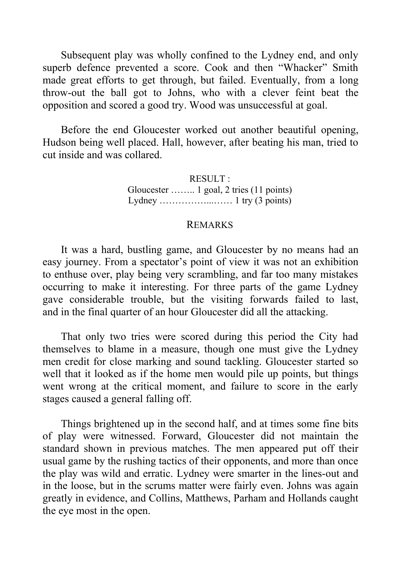Subsequent play was wholly confined to the Lydney end, and only superb defence prevented a score. Cook and then "Whacker" Smith made great efforts to get through, but failed. Eventually, from a long throw-out the ball got to Johns, who with a clever feint beat the opposition and scored a good try. Wood was unsuccessful at goal.

Before the end Gloucester worked out another beautiful opening, Hudson being well placed. Hall, however, after beating his man, tried to cut inside and was collared.

> RESULT : Gloucester …….. 1 goal, 2 tries (11 points) Lydney ……………...…… 1 try (3 points)

### REMARKS

It was a hard, bustling game, and Gloucester by no means had an easy journey. From a spectator's point of view it was not an exhibition to enthuse over, play being very scrambling, and far too many mistakes occurring to make it interesting. For three parts of the game Lydney gave considerable trouble, but the visiting forwards failed to last, and in the final quarter of an hour Gloucester did all the attacking.

That only two tries were scored during this period the City had themselves to blame in a measure, though one must give the Lydney men credit for close marking and sound tackling. Gloucester started so well that it looked as if the home men would pile up points, but things went wrong at the critical moment, and failure to score in the early stages caused a general falling off.

Things brightened up in the second half, and at times some fine bits of play were witnessed. Forward, Gloucester did not maintain the standard shown in previous matches. The men appeared put off their usual game by the rushing tactics of their opponents, and more than once the play was wild and erratic. Lydney were smarter in the lines-out and in the loose, but in the scrums matter were fairly even. Johns was again greatly in evidence, and Collins, Matthews, Parham and Hollands caught the eye most in the open.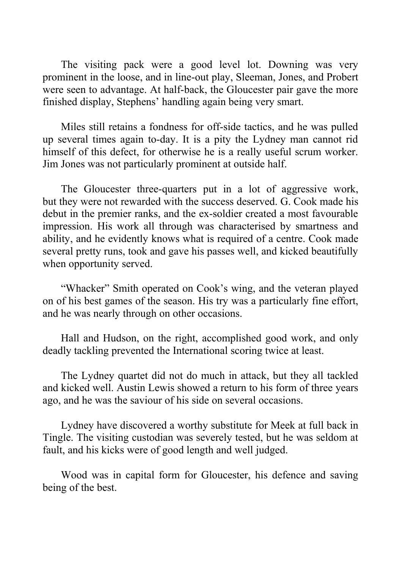The visiting pack were a good level lot. Downing was very prominent in the loose, and in line-out play, Sleeman, Jones, and Probert were seen to advantage. At half-back, the Gloucester pair gave the more finished display, Stephens' handling again being very smart.

Miles still retains a fondness for off-side tactics, and he was pulled up several times again to-day. It is a pity the Lydney man cannot rid himself of this defect, for otherwise he is a really useful scrum worker. Jim Jones was not particularly prominent at outside half.

The Gloucester three-quarters put in a lot of aggressive work, but they were not rewarded with the success deserved. G. Cook made his debut in the premier ranks, and the ex-soldier created a most favourable impression. His work all through was characterised by smartness and ability, and he evidently knows what is required of a centre. Cook made several pretty runs, took and gave his passes well, and kicked beautifully when opportunity served.

"Whacker" Smith operated on Cook's wing, and the veteran played on of his best games of the season. His try was a particularly fine effort, and he was nearly through on other occasions.

Hall and Hudson, on the right, accomplished good work, and only deadly tackling prevented the International scoring twice at least.

The Lydney quartet did not do much in attack, but they all tackled and kicked well. Austin Lewis showed a return to his form of three years ago, and he was the saviour of his side on several occasions.

Lydney have discovered a worthy substitute for Meek at full back in Tingle. The visiting custodian was severely tested, but he was seldom at fault, and his kicks were of good length and well judged.

Wood was in capital form for Gloucester, his defence and saving being of the best.